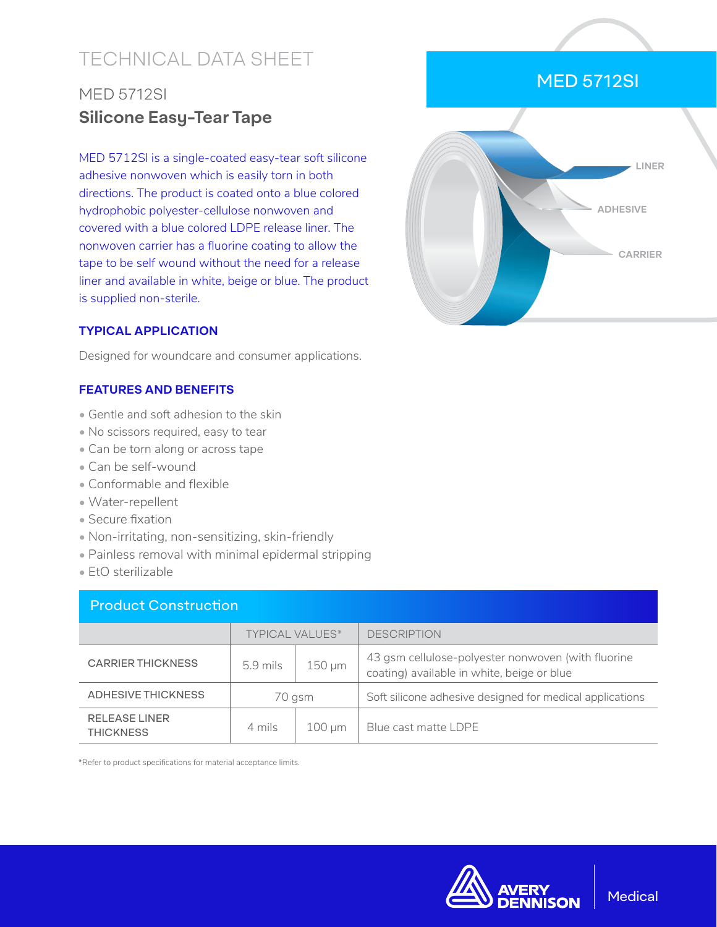# TECHNICAL DATA SHEET

### MED 5712SI **Silicone Easy-Tear Tape**

MED 5712SI is a single-coated easy-tear soft silicone adhesive nonwoven which is easily torn in both directions. The product is coated onto a blue colored hydrophobic polyester-cellulose nonwoven and covered with a blue colored LDPE release liner. The nonwoven carrier has a fluorine coating to allow the tape to be self wound without the need for a release liner and available in white, beige or blue. The product is supplied non-sterile.

## MED 5712SI



#### **TYPICAL APPLICATION**

Designed for woundcare and consumer applications.

### **FEATURES AND BENEFITS**

- Gentle and soft adhesion to the skin
- No scissors required, easy to tear
- Can be torn along or across tape
- Can be self-wound
- Conformable and flexible
- Water-repellent
- Secure fixation
- Non-irritating, non-sensitizing, skin-friendly
- Painless removal with minimal epidermal stripping
- EtO sterilizable

| <b>Product Construction</b>              |                        |             |                                                                                                  |  |  |
|------------------------------------------|------------------------|-------------|--------------------------------------------------------------------------------------------------|--|--|
|                                          | <b>TYPICAL VALUES*</b> |             | <b>DESCRIPTION</b>                                                                               |  |  |
| <b>CARRIER THICKNESS</b>                 | $5.9$ mils             | $150 \mu m$ | 43 gsm cellulose-polyester nonwoven (with fluorine<br>coating) available in white, beige or blue |  |  |
| <b>ADHESIVE THICKNESS</b>                | 70 gsm                 |             | Soft silicone adhesive designed for medical applications                                         |  |  |
| <b>RELEASE LINER</b><br><b>THICKNESS</b> | 4 mils                 | $100 \mu m$ | Blue cast matte LDPE                                                                             |  |  |

\*Refer to product specifications for material acceptance limits.